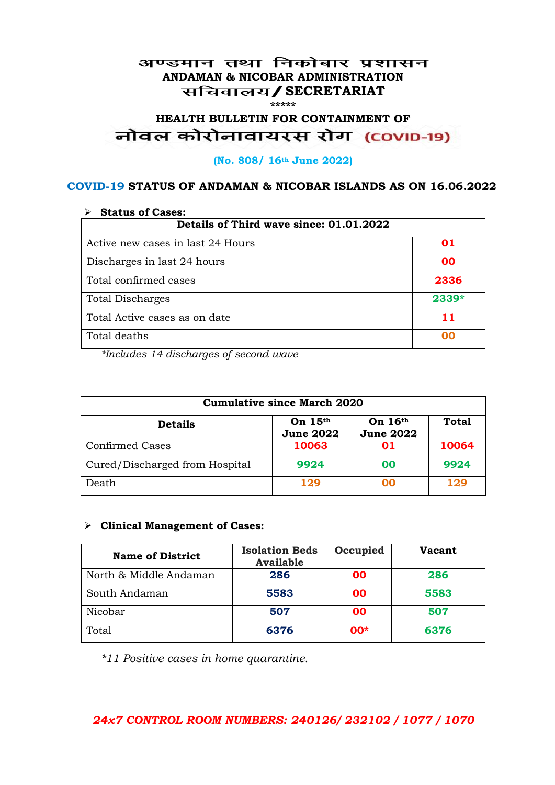#### अण्डमान तथा निकोबार प्रशासन **ANDAMAN & NICOBAR ADMINISTRATION /SECRETARIAT \*\*\*\*\***

# HEALTH BULLETIN FOR CONTAINMENT OF<br>बोवल कोरोनावायरस रोग (COVID-19)

#### **(No. 808/ 16th June 2022)**

#### **COVID-19 STATUS OF ANDAMAN & NICOBAR ISLANDS AS ON 16.06.2022**

| <b>Status of Cases:</b>                 |       |  |
|-----------------------------------------|-------|--|
| Details of Third wave since: 01.01.2022 |       |  |
| Active new cases in last 24 Hours       | 01    |  |
| Discharges in last 24 hours             | 00    |  |
| Total confirmed cases                   | 2336  |  |
| <b>Total Discharges</b>                 | 2339* |  |
| Total Active cases as on date           | 11    |  |
| Total deaths                            | na    |  |

*\*Includes 14 discharges of second wave*

| <b>Cumulative since March 2020</b> |                               |                             |              |
|------------------------------------|-------------------------------|-----------------------------|--------------|
| <b>Details</b>                     | On $15th$<br><b>June 2022</b> | On 16th<br><b>June 2022</b> | <b>Total</b> |
| <b>Confirmed Cases</b>             | 10063                         | 01                          | 10064        |
| Cured/Discharged from Hospital     | 9924                          | 00                          | 9924         |
| Death                              | 129                           | ററ                          | 129          |

#### **Clinical Management of Cases:**

| <b>Name of District</b> | <b>Isolation Beds</b><br><b>Available</b> | Occupied | <b>Vacant</b> |
|-------------------------|-------------------------------------------|----------|---------------|
| North & Middle Andaman  | 286                                       | 00       | 286           |
| South Andaman           | 5583                                      | 00       | 5583          |
| Nicobar                 | 507                                       | 00       | 507           |
| Total                   | 6376                                      | $00*$    | 6376          |

*\*11 Positive cases in home quarantine.*

#### *24x7 CONTROL ROOM NUMBERS: 240126/ 232102 / 1077 / 1070*